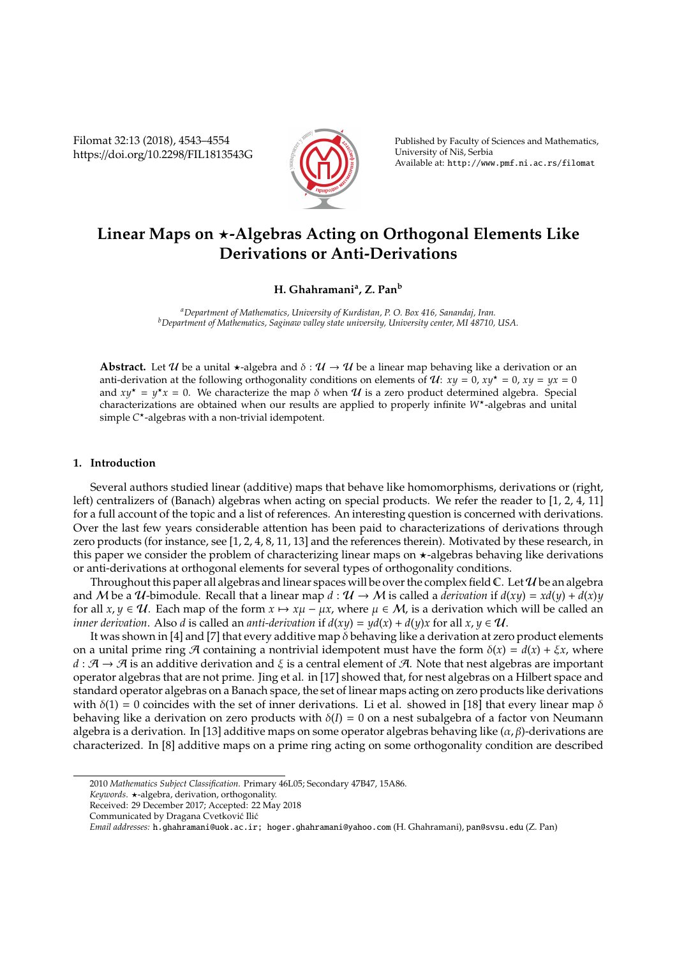Filomat 32:13 (2018), 4543–4554 https://doi.org/10.2298/FIL1813543G



Published by Faculty of Sciences and Mathematics, University of Niš, Serbia Available at: http://www.pmf.ni.ac.rs/filomat

# Linear Maps on  $\star$ -Algebras Acting on Orthogonal Elements Like **Derivations or Anti-Derivations**

## **H. Ghahramani<sup>a</sup> , Z. Pan<sup>b</sup>**

*<sup>a</sup>Department of Mathematics, University of Kurdistan, P. O. Box 416, Sanandaj, Iran. <sup>b</sup>Department of Mathematics, Saginaw valley state university, University center, MI 48710, USA.*

**Abstract.** Let U be a unital  $\star$ -algebra and  $\delta : \mathcal{U} \to \mathcal{U}$  be a linear map behaving like a derivation or an anti-derivation at the following orthogonality conditions on elements of  $U: xy = 0$ ,  $xy^* = 0$ ,  $xy = yx = 0$ and  $xy^* = y^*x = 0$ . We characterize the map  $\delta$  when  $\mathcal U$  is a zero product determined algebra. Special characterizations are obtained when our results are applied to properly infinite *W*? -algebras and unital simple *C* ? -algebras with a non-trivial idempotent.

## **1. Introduction**

Several authors studied linear (additive) maps that behave like homomorphisms, derivations or (right, left) centralizers of (Banach) algebras when acting on special products. We refer the reader to [1, 2, 4, 11] for a full account of the topic and a list of references. An interesting question is concerned with derivations. Over the last few years considerable attention has been paid to characterizations of derivations through zero products (for instance, see [1, 2, 4, 8, 11, 13] and the references therein). Motivated by these research, in this paper we consider the problem of characterizing linear maps on  $\star$ -algebras behaving like derivations or anti-derivations at orthogonal elements for several types of orthogonality conditions.

Throughout this paper all algebras and linear spaces will be over the complex field  $\mathbb C$ . Let  $\mathcal U$  be an algebra and M be a U-bimodule. Recall that a linear map  $d : \mathcal{U} \to \mathcal{M}$  is called a *derivation* if  $d(xy) = xd(y) + d(x)y$ for all  $x, y \in U$ . Each map of the form  $x \mapsto x\mu - \mu x$ , where  $\mu \in M$ , is a derivation which will be called an *inner derivation.* Also *d* is called an *anti-derivation* if  $d(xy) = yd(x) + d(y)x$  for all  $x, y \in U$ .

It was shown in [4] and [7] that every additive map δ behaving like a derivation at zero product elements on a unital prime ring A containing a nontrivial idempotent must have the form  $\delta(x) = d(x) + \xi x$ , where  $d : A \to A$  is an additive derivation and  $\xi$  is a central element of A. Note that nest algebras are important operator algebras that are not prime. Jing et al. in [17] showed that, for nest algebras on a Hilbert space and standard operator algebras on a Banach space, the set of linear maps acting on zero products like derivations with  $\delta(1) = 0$  coincides with the set of inner derivations. Li et al. showed in [18] that every linear map  $\delta$ behaving like a derivation on zero products with  $\delta(I) = 0$  on a nest subalgebra of a factor von Neumann algebra is a derivation. In [13] additive maps on some operator algebras behaving like  $(\alpha, \beta)$ -derivations are characterized. In [8] additive maps on a prime ring acting on some orthogonality condition are described

<sup>2010</sup> *Mathematics Subject Classification*. Primary 46L05; Secondary 47B47, 15A86.

*Keywords*. ?-algebra, derivation, orthogonality.

Received: 29 December 2017; Accepted: 22 May 2018

Communicated by Dragana Cvetković Ilić

*Email addresses:* h.ghahramani@uok.ac.ir; hoger.ghahramani@yahoo.com (H. Ghahramani), pan@svsu.edu (Z. Pan)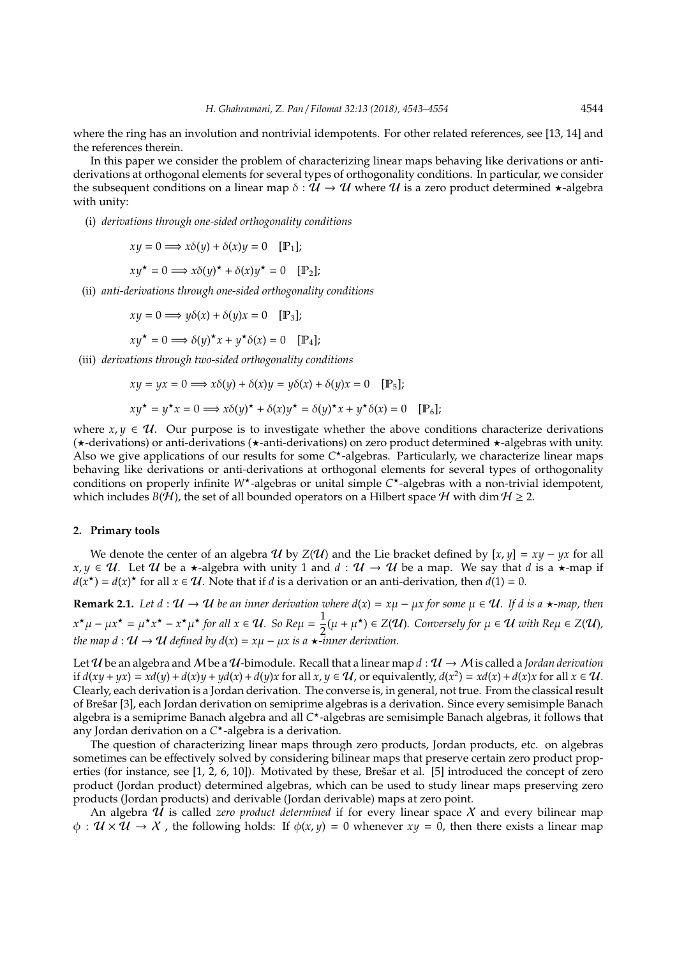where the ring has an involution and nontrivial idempotents. For other related references, see [13, 14] and the references therein.

In this paper we consider the problem of characterizing linear maps behaving like derivations or antiderivations at orthogonal elements for several types of orthogonality conditions. In particular, we consider the subsequent conditions on a linear map  $\delta : \mathcal{U} \to \mathcal{U}$  where  $\mathcal{U}$  is a zero product determined  $\star$ -algebra with unity:

(i) *derivations through one-sided orthogonality conditions*

$$
xy = 0 \Longrightarrow x\delta(y) + \delta(x)y = 0 \quad [\mathbb{P}_1];
$$

$$
xy^* = 0 \Longrightarrow x\delta(y)^* + \delta(x)y^* = 0 \quad [\mathbb{P}_2];
$$

(ii) *anti-derivations through one-sided orthogonality conditions*

$$
xy = 0 \Longrightarrow y\delta(x) + \delta(y)x = 0 \quad [P_3];
$$

$$
xy^{\star} = 0 \Longrightarrow \delta(y)^{\star}x + y^{\star}\delta(x) = 0 \quad [\mathbb{P}_4];
$$

(iii) *derivations through two-sided orthogonality conditions*

$$
xy = yx = 0 \Longrightarrow x\delta(y) + \delta(x)y = y\delta(x) + \delta(y)x = 0 \quad [\mathbb{P}_5];
$$
  

$$
xy^* = y^*x = 0 \Longrightarrow x\delta(y)^* + \delta(x)y^* = \delta(y)^*x + y^*\delta(x) = 0 \quad [\mathbb{P}_6];
$$

where  $x, y \in U$ . Our purpose is to investigate whether the above conditions characterize derivations  $(\star$ -derivations) or anti-derivations ( $\star$ -anti-derivations) on zero product determined  $\star$ -algebras with unity. Also we give applications of our results for some C<sup>\*</sup>-algebras. Particularly, we characterize linear maps behaving like derivations or anti-derivations at orthogonal elements for several types of orthogonality conditions on properly infinite W<sup>\*</sup>-algebras or unital simple C<sup>\*</sup>-algebras with a non-trivial idempotent, which includes *B*( $H$ ), the set of all bounded operators on a Hilbert space  $H$  with dim  $H \ge 2$ .

#### **2. Primary tools**

We denote the center of an algebra  $\mathcal{U}$  by  $Z(\mathcal{U})$  and the Lie bracket defined by [x,  $y$ ] =  $x\psi - \psi x$  for all *x*, *y* ∈ *U*. Let *U* be a  $\star$ -algebra with unity 1 and *d* : *U* → *U* be a map. We say that *d* is a  $\star$ -map if  $d(x^*) = d(x)^*$  for all  $x \in U$ . Note that if *d* is a derivation or an anti-derivation, then  $d(1) = 0$ .

**Remark 2.1.** *Let d* :  $U \to U$  *be an inner derivation where*  $d(x) = x\mu - \mu x$  *for some*  $\mu \in U$ *. If d is a*  $\star$ *-map, then*  $x^{\star}\mu - \mu x^{\star} = \mu^{\star}x^{\star} - x^{\star}\mu^{\star}$  for all  $x \in \mathcal{U}$ *. So Re* $\mu = \frac{1}{2}$  $\frac{1}{2}(\mu + \mu^*)$  ∈ *Z*(U). Conversely for  $\mu \in \mathcal{U}$  with Re $\mu \in Z(\mathcal{U})$ , *the map d* :  $U \rightarrow U$  *defined by d(x)* =  $x\mu - \mu x$  *is a*  $\star$ *-inner derivation.* 

Let U be an algebra and M be a U-bimodule. Recall that a linear map  $d : U \to M$  is called a *Jordan derivation* if  $d(xy + yx) = xd(y) + d(x)y + yd(x) + d(y)x$  for all  $x, y \in U$ , or equivalently,  $d(x^2) = xd(x) + d(x)x$  for all  $x \in U$ . Clearly, each derivation is a Jordan derivation. The converse is, in general, not true. From the classical result of Brešar [3], each Jordan derivation on semiprime algebras is a derivation. Since every semisimple Banach algebra is a semiprime Banach algebra and all C<sup>\*</sup>-algebras are semisimple Banach algebras, it follows that any Jordan derivation on a *C* ?-algebra is a derivation.

The question of characterizing linear maps through zero products, Jordan products, etc. on algebras sometimes can be effectively solved by considering bilinear maps that preserve certain zero product properties (for instance, see [1, 2, 6, 10]). Motivated by these, Brešar et al. [5] introduced the concept of zero product (Jordan product) determined algebras, which can be used to study linear maps preserving zero products (Jordan products) and derivable (Jordan derivable) maps at zero point.

An algebra U is called *zero product determined* if for every linear space X and every bilinear map  $\phi : \mathcal{U} \times \mathcal{U} \to \mathcal{X}$ , the following holds: If  $\phi(x, y) = 0$  whenever  $xy = 0$ , then there exists a linear map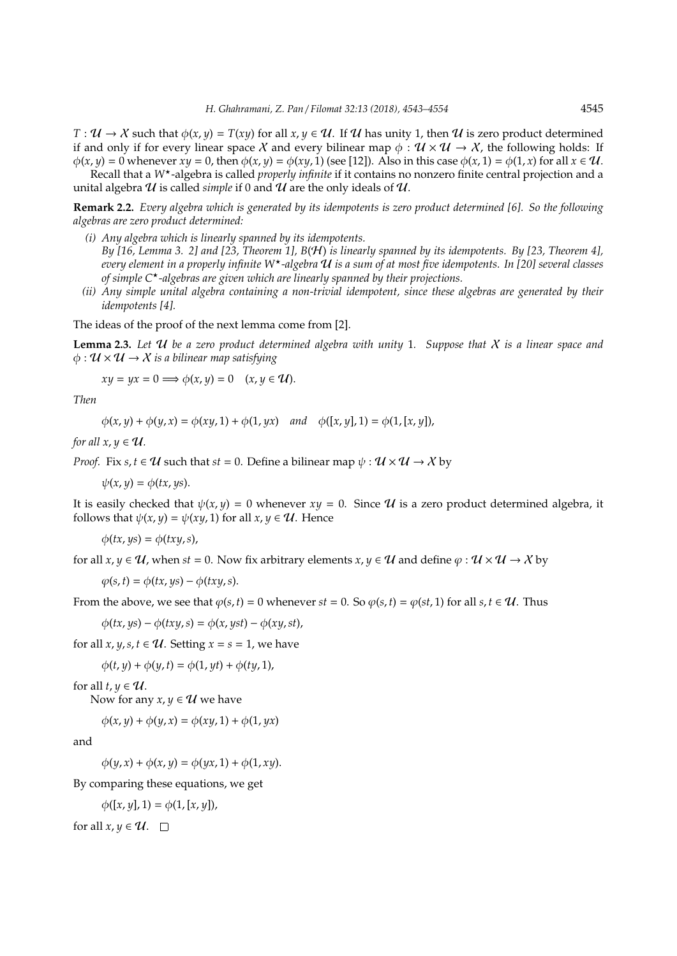$T: \mathcal{U} \to \mathcal{X}$  such that  $\phi(x, y) = T(xy)$  for all  $x, y \in \mathcal{U}$ . If  $\mathcal{U}$  has unity 1, then  $\mathcal{U}$  is zero product determined if and only if for every linear space X and every bilinear map  $\phi : \mathcal{U} \times \mathcal{U} \to \mathcal{X}$ , the following holds: If  $\phi(x, y) = 0$  whenever  $xy = 0$ , then  $\phi(x, y) = \phi(xy, 1)$  (see [12]). Also in this case  $\phi(x, 1) = \phi(1, x)$  for all  $x \in \mathcal{U}$ .

Recall that a *W*?-algebra is called *properly infinite* if it contains no nonzero finite central projection and a unital algebra  $U$  is called *simple* if 0 and  $U$  are the only ideals of  $U$ .

**Remark 2.2.** *Every algebra which is generated by its idempotents is zero product determined [6]. So the following algebras are zero product determined:*

- *(i) Any algebra which is linearly spanned by its idempotents. By [16, Lemma 3. 2] and [23, Theorem 1], B*(H) *is linearly spanned by its idempotents. By [23, Theorem 4], every element in a properly infinite W*?*-algebra* U *is a sum of at most five idempotents. In [20] several classes of simple C*?*-algebras are given which are linearly spanned by their projections.*
- *(ii) Any simple unital algebra containing a non-trivial idempotent, since these algebras are generated by their idempotents [4].*

The ideas of the proof of the next lemma come from [2].

**Lemma 2.3.** *Let* U *be a zero product determined algebra with unity* 1*. Suppose that* X *is a linear space and*  $\phi : \mathcal{U} \times \mathcal{U} \rightarrow \mathcal{X}$  *is a bilinear map satisfying* 

$$
xy = yx = 0 \Longrightarrow \phi(x, y) = 0 \quad (x, y \in \mathcal{U}).
$$

*Then*

$$
\phi(x, y) + \phi(y, x) = \phi(xy, 1) + \phi(1, yx) \quad and \quad \phi([x, y], 1) = \phi(1, [x, y]),
$$

*for all*  $x, y \in \mathcal{U}$ *.* 

*Proof.* Fix *s*,  $t \in U$  such that  $st = 0$ . Define a bilinear map  $\psi : U \times U \rightarrow X$  by

 $\psi(x, y) = \phi(tx, ys).$ 

It is easily checked that  $\psi(x, y) = 0$  whenever  $xy = 0$ . Since U is a zero product determined algebra, it follows that  $\psi(x, y) = \psi(xy, 1)$  for all  $x, y \in \mathcal{U}$ . Hence

 $\phi(tx, ys) = \phi(txy, s),$ 

for all  $x, y \in \mathcal{U}$ , when  $st = 0$ . Now fix arbitrary elements  $x, y \in \mathcal{U}$  and define  $\varphi : \mathcal{U} \times \mathcal{U} \to \chi$  by

 $\varphi(s,t) = \varphi(tx, ys) - \varphi(txy, s).$ 

From the above, we see that  $\varphi(s, t) = 0$  whenever  $st = 0$ . So  $\varphi(s, t) = \varphi(st, 1)$  for all  $s, t \in \mathcal{U}$ . Thus

 $\phi(tx, ys) - \phi(txy, s) = \phi(x, yst) - \phi(xy, st),$ 

for all *x*, *y*, *s*, *t*  $\in \mathcal{U}$ . Setting *x* = *s* = 1, we have

 $\phi(t, y) + \phi(y, t) = \phi(1, yt) + \phi(ty, 1),$ 

for all  $t, y \in U$ .

Now for any  $x, y \in U$  we have

 $\phi(x, y) + \phi(y, x) = \phi(xy, 1) + \phi(1, yx)$ 

and

 $\phi(y, x) + \phi(x, y) = \phi(yx, 1) + \phi(1, xy).$ 

By comparing these equations, we get

 $\phi([x, y], 1) = \phi(1, [x, y]),$ 

for all  $x, y \in U$ .  $\square$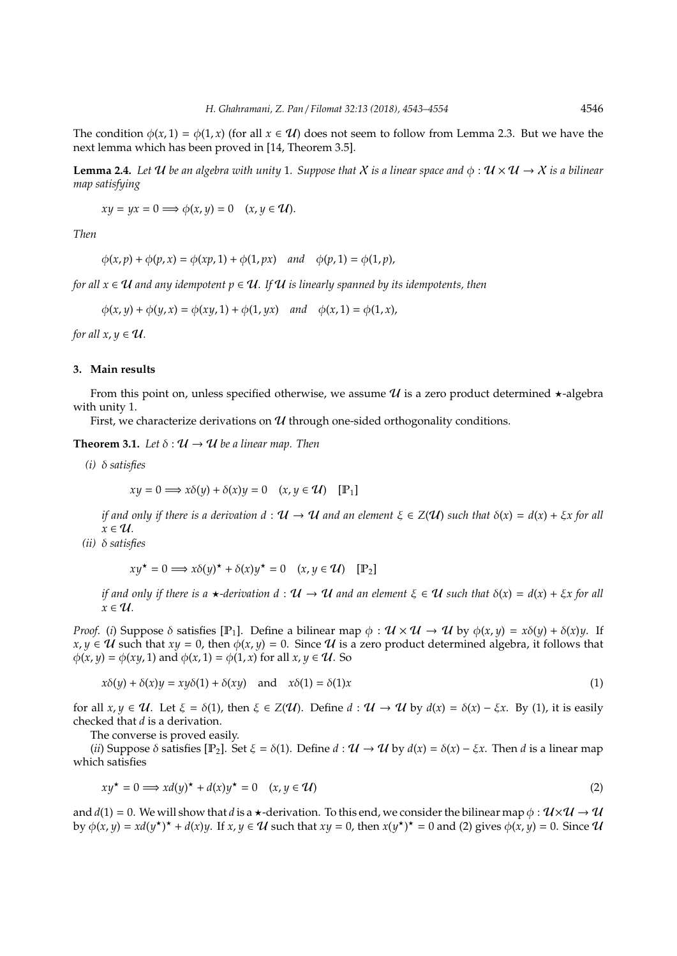The condition  $\phi(x, 1) = \phi(1, x)$  (for all  $x \in \mathcal{U}$ ) does not seem to follow from Lemma 2.3. But we have the next lemma which has been proved in [14, Theorem 3.5].

**Lemma 2.4.** Let U be an algebra with unity 1. Suppose that X is a linear space and  $\phi : U \times U \rightarrow X$  is a bilinear *map satisfying*

 $xy = yx = 0 \Longrightarrow \phi(x, y) = 0 \quad (x, y \in \mathcal{U}).$ 

*Then*

$$
\phi(x,p) + \phi(p,x) = \phi(xp,1) + \phi(1,px) \quad and \quad \phi(p,1) = \phi(1,p),
$$

*for all*  $x \in U$  *and any idempotent*  $p \in U$ . If U is linearly spanned by its idempotents, then

 $\phi(x, y) + \phi(y, x) = \phi(xy, 1) + \phi(1, yx)$  *and*  $\phi(x, 1) = \phi(1, x)$ ,

*for all*  $x, y \in \mathcal{U}$ *.* 

## **3. Main results**

From this point on, unless specified otherwise, we assume  $\mathcal U$  is a zero product determined  $\star$ -algebra with unity 1.

First, we characterize derivations on  $U$  through one-sided orthogonality conditions.

**Theorem 3.1.** Let  $\delta : \mathcal{U} \to \mathcal{U}$  be a linear map. Then

*(i)* δ *satisfies*

$$
xy = 0 \Longrightarrow x\delta(y) + \delta(x)y = 0 \quad (x, y \in \mathcal{U}) \quad [\mathbb{P}_1]
$$

*if and only if there is a derivation*  $d: U \to U$  *and an element*  $\xi \in Z(U)$  *such that*  $\delta(x) = d(x) + \xi x$  for all  $x \in \mathcal{U}$ .

*(ii)* δ *satisfies*

$$
xy^* = 0 \Longrightarrow x\delta(y)^* + \delta(x)y^* = 0 \quad (x, y \in \mathcal{U}) \quad [\mathbb{P}_2]
$$

*if and only if there is a*  $\star$ *-derivation d* :  $U \to U$  *and an element*  $\xi \in U$  *such that*  $\delta(x) = d(x) + \xi x$  *for all*  $x \in U$ .

*Proof.* (*i*) Suppose  $\delta$  satisfies [P<sub>1</sub>]. Define a bilinear map  $\phi$ :  $\mathcal{U} \times \mathcal{U} \rightarrow \mathcal{U}$  by  $\phi(x, y) = x\delta(y) + \delta(x)y$ . If  $x, y \in U$  such that  $xy = 0$ , then  $\phi(x, y) = 0$ . Since U is a zero product determined algebra, it follows that  $\phi(x, y) = \phi(xy, 1)$  and  $\phi(x, 1) = \phi(1, x)$  for all  $x, y \in \mathcal{U}$ . So

$$
x\delta(y) + \delta(x)y = xy\delta(1) + \delta(xy) \quad \text{and} \quad x\delta(1) = \delta(1)x \tag{1}
$$

for all  $x, y \in \mathcal{U}$ . Let  $\xi = \delta(1)$ , then  $\xi \in Z(\mathcal{U})$ . Define  $d : \mathcal{U} \to \mathcal{U}$  by  $d(x) = \delta(x) - \xi x$ . By (1), it is easily checked that *d* is a derivation.

The converse is proved easily.

(*ii*) Suppose  $\delta$  satisfies  $[\mathbb{P}_2]$ . Set  $\xi = \delta(1)$ . Define  $d : \mathcal{U} \to \mathcal{U}$  by  $d(x) = \delta(x) - \xi x$ . Then d is a linear map which satisfies

$$
xy^* = 0 \Longrightarrow xd(y)^* + d(x)y^* = 0 \quad (x, y \in \mathcal{U})
$$
 (2)

and  $d(1) = 0$ . We will show that *d* is a  $\star$ -derivation. To this end, we consider the bilinear map  $\phi : U \times U \rightarrow U$ by  $\phi(x, y) = xd(y^*)^* + d(x)y$ . If  $x, y \in U$  such that  $xy = 0$ , then  $x(y^*)^* = 0$  and (2) gives  $\phi(x, y) = 0$ . Since  $U$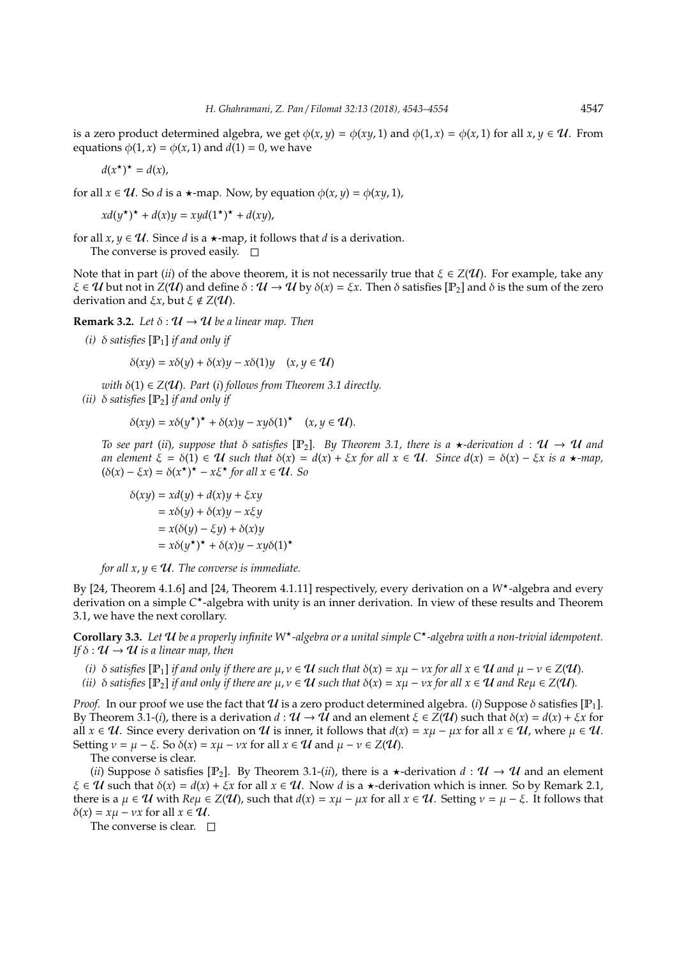is a zero product determined algebra, we get  $\phi(x, y) = \phi(xy, 1)$  and  $\phi(1, x) = \phi(x, 1)$  for all  $x, y \in \mathcal{U}$ . From equations  $\phi(1, x) = \phi(x, 1)$  and  $\tilde{d}(1) = 0$ , we have

$$
d(x^{\star})^{\star}=d(x),
$$

for all  $x \in \mathcal{U}$ . So *d* is a  $\star$ -map. Now, by equation  $\phi(x, y) = \phi(xy, 1)$ ,

$$
xd(y^{\star})^{\star} + d(x)y = xyd(1^{\star})^{\star} + d(xy),
$$

for all  $x, y \in U$ . Since *d* is a  $\star$ -map, it follows that *d* is a derivation. The converse is proved easily.  $\square$ 

Note that in part *(ii)* of the above theorem, it is not necessarily true that  $\xi \in Z(\mathcal{U})$ . For example, take any  $\xi \in \mathcal{U}$  but not in  $Z(\mathcal{U})$  and define  $\delta : \mathcal{U} \to \mathcal{U}$  by  $\delta(x) = \xi x$ . Then  $\delta$  satisfies [P<sub>2</sub>] and  $\delta$  is the sum of the zero derivation and  $\xi x$ , but  $\xi \notin Z(\mathcal{U})$ .

**Remark 3.2.** *Let*  $\delta : \mathcal{U} \to \mathcal{U}$  *be a linear map. Then* 

*(i)*  $\delta$  *satisfies*  $[\mathbb{P}_1]$  *if and only if* 

$$
\delta(xy) = x\delta(y) + \delta(x)y - x\delta(1)y \quad (x, y \in \mathcal{U})
$$

*with*  $\delta(1) \in Z(\mathcal{U})$ *. Part* (*i*) *follows from Theorem 3.1 directly.* 

*(ii)*  $\delta$  *satisfies*  $[P_2]$  *if and only if* 

$$
\delta(xy) = x\delta(y^{\star})^{\star} + \delta(x)y - xy\delta(1)^{\star} \quad (x, y \in \mathcal{U}).
$$

*To see part* (*ii*)*, suppose that*  $\delta$  *satisfies* [ $\mathbb{P}_2$ ]*. By Theorem 3.1, there is a*  $\star$ *-derivation d* :  $\mathcal{U} \to \mathcal{U}$  *and an element*  $\xi = \delta(1) \in \mathcal{U}$  *such that*  $\delta(x) = d(x) + \xi x$  *for all*  $x \in \mathcal{U}$ *. Since*  $d(x) = \delta(x) - \xi x$  *is a*  $\star$ *-map,*  $(\delta(x) - \xi x) = \delta(x^*)^* - x\xi^*$  for all  $x \in \mathcal{U}$ . So

$$
\delta(xy) = xd(y) + d(x)y + \xi xy
$$
  
=  $x\delta(y) + \delta(x)y - x\xi y$   
=  $x(\delta(y) - \xi y) + \delta(x)y$   
=  $x\delta(y^*)^* + \delta(x)y - xy\delta(1)^*$ 

*for all*  $x, y \in U$ *. The converse is immediate.* 

By [24, Theorem 4.1.6] and [24, Theorem 4.1.11] respectively, every derivation on a  $W^*$ -algebra and every derivation on a simple C<sup>\*</sup>-algebra with unity is an inner derivation. In view of these results and Theorem 3.1, we have the next corollary.

**Corollary 3.3.** *Let* U *be a properly infinite W*?*-algebra or a unital simple C*?*-algebra with a non-trivial idempotent. If*  $\delta$  :  $U \rightarrow U$  *is a linear map, then* 

- *(i)*  $\delta$  *satisfies* [ $\mathbb{P}_1$ ] *if and only if there are*  $\mu, \nu \in \mathcal{U}$  *such that*  $\delta(x) = x\mu \nu x$  *for all*  $x \in \mathcal{U}$  *and*  $\mu \nu \in Z(\mathcal{U})$ *.*
- *(ii)*  $\delta$  *satisfies*  $[\mathbb{P}_2]$  *if and only if there are*  $\mu, \nu \in \mathcal{U}$  *such that*  $\delta(x) = x\mu \nu x$  *for all*  $x \in \mathcal{U}$  *and*  $\text{Re}\mu \in Z(\mathcal{U})$ *.*

*Proof.* In our proof we use the fact that  $\mathcal U$  is a zero product determined algebra. (*i*) Suppose  $\delta$  satisfies [P<sub>1</sub>]. By Theorem 3.1-(*i*), there is a derivation  $d : \mathcal{U} \to \hat{\mathcal{U}}$  and an element  $\xi \in Z(\mathcal{U})$  such that  $\delta(x) = d(x) + \xi x$  for all  $x \in U$ . Since every derivation on U is inner, it follows that  $d(x) = x\mu - \mu x$  for all  $x \in U$ , where  $\mu \in U$ . Setting  $v = \mu - \xi$ . So  $\delta(x) = x\mu - \nu x$  for all  $x \in \mathcal{U}$  and  $\mu - \nu \in Z(\mathcal{U})$ .

The converse is clear.

(*ii*) Suppose  $\delta$  satisfies [P<sub>2</sub>]. By Theorem 3.1-(*ii*), there is a  $\star$ -derivation  $d : \mathcal{U} \to \mathcal{U}$  and an element  $\xi \in \mathcal{U}$  such that  $\delta(x) = d(x) + \xi x$  for all  $x \in \mathcal{U}$ . Now *d* is a  $\star$ -derivation which is inner. So by Remark 2.1, there is a  $\mu \in \mathcal{U}$  with  $Re\mu \in Z(\mathcal{U})$ , such that  $d(x) = x\mu - \mu x$  for all  $x \in \mathcal{U}$ . Setting  $\nu = \mu - \xi$ . It follows that  $\delta(x) = x\mu - \nu x$  for all  $x \in \mathcal{U}$ .

The converse is clear.  $\square$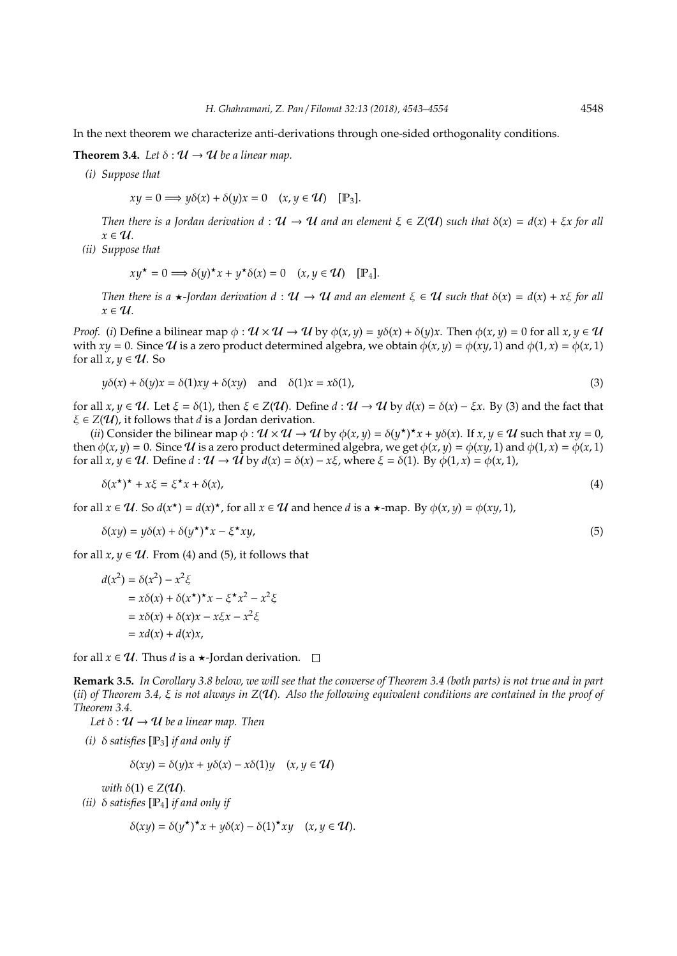In the next theorem we characterize anti-derivations through one-sided orthogonality conditions.

**Theorem 3.4.** *Let*  $\delta : \mathcal{U} \to \mathcal{U}$  *be a linear map.* 

*(i) Suppose that*

$$
xy = 0 \Longrightarrow y\delta(x) + \delta(y)x = 0 \quad (x, y \in \mathcal{U}) \quad [\mathbb{P}_3].
$$

*Then there is a Jordan derivation*  $d: U \to U$  *and an element*  $\xi \in Z(U)$  *such that*  $\delta(x) = d(x) + \xi x$  *for all*  $x \in U$ .

*(ii) Suppose that*

$$
xy^* = 0 \Longrightarrow \delta(y)^* x + y^* \delta(x) = 0 \quad (x, y \in \mathcal{U}) \quad [\mathbb{P}_4].
$$

*Then there is a*  $\star$ *-Jordan derivation*  $d : \mathcal{U} \to \mathcal{U}$  *and an element*  $\xi \in \mathcal{U}$  *such that*  $\delta(x) = d(x) + x\xi$  *for all*  $x \in U$ .

*Proof.* (*i*) Define a bilinear map  $\phi : \mathcal{U} \times \mathcal{U} \to \mathcal{U}$  by  $\phi(x, y) = y\delta(x) + \delta(y)x$ . Then  $\phi(x, y) = 0$  for all  $x, y \in \mathcal{U}$ with  $xy = 0$ . Since U is a zero product determined algebra, we obtain  $\phi(x, y) = \phi(xy, 1)$  and  $\phi(1, x) = \phi(x, 1)$ for all  $x, y \in U$ . So

$$
y\delta(x) + \delta(y)x = \delta(1)xy + \delta(xy) \quad \text{and} \quad \delta(1)x = x\delta(1),\tag{3}
$$

for all  $x, y \in \mathcal{U}$ . Let  $\xi = \delta(1)$ , then  $\xi \in Z(\mathcal{U})$ . Define  $d : \mathcal{U} \to \mathcal{U}$  by  $d(x) = \delta(x) - \xi x$ . By (3) and the fact that  $\xi \in Z(\mathcal{U})$ , it follows that *d* is a Jordan derivation.

(*ii*) Consider the bilinear map  $\phi : \mathcal{U} \times \mathcal{U} \to \mathcal{U}$  by  $\phi(x, y) = \delta(y^*)^*x + y\delta(x)$ . If  $x, y \in \mathcal{U}$  such that  $xy = 0$ , then  $\phi(x, y) = 0$ . Since U is a zero product determined algebra, we get  $\phi(x, y) = \phi(xy, 1)$  and  $\phi(1, x) = \phi(x, 1)$ for all  $x, y \in U$ . Define  $d : U \rightarrow \overline{U}$  by  $d(x) = \delta(x) - x\xi$ , where  $\xi = \delta(1)$ . By  $\phi(1, x) = \phi(x, 1)$ ,

$$
\delta(x^{\star})^{\star} + x\xi = \xi^{\star}x + \delta(x),\tag{4}
$$

for all  $x \in \mathcal{U}$ . So  $d(x^*) = d(x)^*$ , for all  $x \in \mathcal{U}$  and hence *d* is a  $\star$ -map. By  $\phi(x, y) = \phi(xy, 1)$ ,

$$
\delta(xy) = y\delta(x) + \delta(y^{\star})^{\star}x - \xi^{\star}xy,\tag{5}
$$

for all  $x, y \in U$ . From (4) and (5), it follows that

$$
d(x2) = \delta(x2) - x2 \xi
$$
  
=  $x\delta(x) + \delta(x^*)^*x - \xi^*x^2 - x^2\xi$   
=  $x\delta(x) + \delta(x)x - x\xi x - x^2\xi$   
=  $xd(x) + d(x)x$ ,

for all  $x \in U$ . Thus *d* is a  $\star$ -Jordan derivation.  $\square$ 

**Remark 3.5.** *In Corollary 3.8 below, we will see that the converse of Theorem 3.4 (both parts) is not true and in part* (*ii*) *of Theorem 3.4,* ξ *is not always in Z*(U)*. Also the following equivalent conditions are contained in the proof of Theorem 3.4.*

*Let*  $\delta : \mathcal{U} \to \mathcal{U}$  *be a linear map. Then* 

*(i)*  $\delta$  *satisfies*  $[P_3]$  *if and only if* 

$$
\delta(xy) = \delta(y)x + y\delta(x) - x\delta(1)y \quad (x, y \in \mathcal{U})
$$

*with*  $\delta(1) \in Z(\mathcal{U})$ *.* 

*(ii)* δ *satisfies* [P4] *if and only if*

$$
\delta(xy) = \delta(y^{\star})^{\star}x + y\delta(x) - \delta(1)^{\star}xy \quad (x, y \in \mathcal{U}).
$$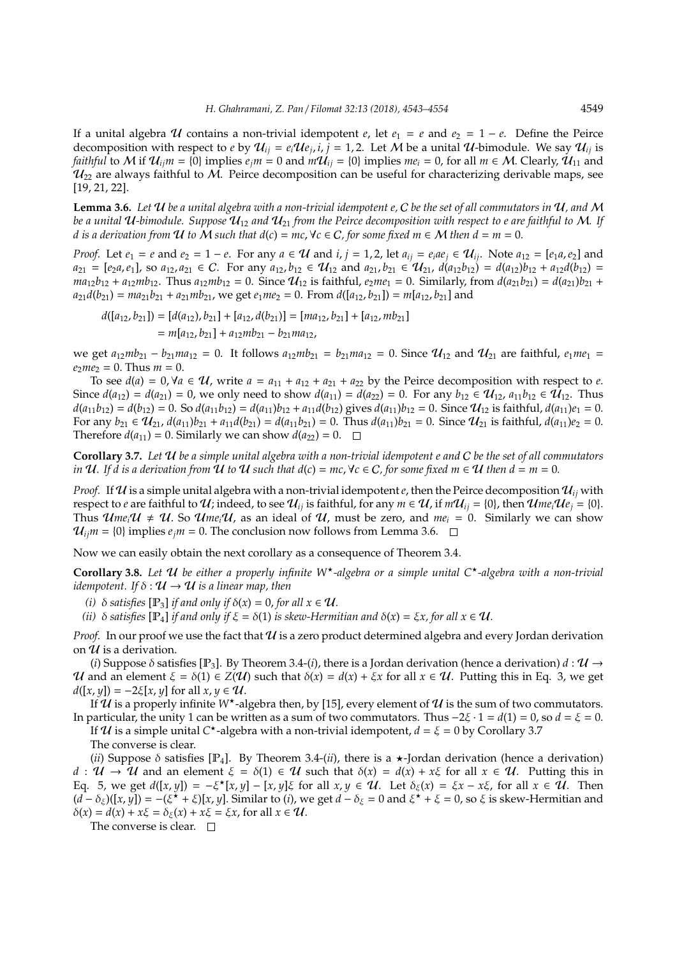If a unital algebra U contains a non-trivial idempotent *e*, let  $e_1 = e$  and  $e_2 = 1 - e$ . Define the Peirce decomposition with respect to *e* by  $\mathcal{U}_{ij} = e_i \mathcal{U} e_j$ ,  $i, j = 1, 2$ . Let M be a unital  $\mathcal{U}$ -bimodule. We say  $\mathcal{U}_{ij}$  is *faithful* to M if  $U_i$ <sub>*ii</sub>m* = {0} implies  $e_j$ *m* = 0 and  $mU_i$ <sub>*ii*</sub> = {0} implies  $me_i$  = 0, for all  $m \in M$ . Clearly,  $U_{11}$  and</sub>  $\mathcal{U}_{22}$  are always faithful to M. Peirce decomposition can be useful for characterizing derivable maps, see [19, 21, 22].

**Lemma 3.6.** *Let* U *be a unital algebra with a non-trivial idempotent e,* C *be the set of all commutators in* U*, and* M *be a unital*  $U$ -bimodule. Suppose  $U_{12}$  and  $U_{21}$  from the Peirce decomposition with respect to e are faithful to M. If *d* is a derivation from U to M such that  $d(c) = mc$ ,  $\forall c \in C$ , for some fixed  $m \in M$  then  $d = m = 0$ .

*Proof.* Let  $e_1 = e$  and  $e_2 = 1 - e$ . For any  $a \in \mathcal{U}$  and  $i, j = 1, 2$ , let  $a_{ij} = e_i a e_j \in \mathcal{U}_{ij}$ . Note  $a_{12} = [e_1 a, e_2]$  and  $a_{21} = [e_2a, e_1]$ , so  $a_{12}, a_{21} \in C$ . For any  $a_{12}, b_{12} \in U_{12}$  and  $a_{21}, b_{21} \in U_{21}$ ,  $d(a_{12}b_{12}) = d(a_{12})b_{12} + a_{12}d(b_{12}) =$  $ma_{12}b_{12} + a_{12}mb_{12}$ . Thus  $a_{12}mb_{12} = 0$ . Since  $\mathcal{U}_{12}$  is faithful,  $e_2me_1 = 0$ . Similarly, from  $d(a_{21}b_{21}) = d(a_{21})b_{21} +$  $a_{21}d(b_{21}) = ma_{21}b_{21} + a_{21}mb_{21}$ , we get  $e_1me_2 = 0$ . From  $d([a_{12}, b_{21}]) = m[a_{12}, b_{21}]$  and

 $d([a_{12}, b_{21}] = [d(a_{12}), b_{21}] + [a_{12}, d(b_{21})] = [ma_{12}, b_{21}] + [a_{12}, mb_{21}]$  $= m[a_{12}, b_{21}] + a_{12}mb_{21} - b_{21}ma_{12}$ 

we get  $a_{12}mb_{21} - b_{21}ma_{12} = 0$ . It follows  $a_{12}mb_{21} = b_{21}ma_{12} = 0$ . Since  $\mathcal{U}_{12}$  and  $\mathcal{U}_{21}$  are faithful,  $e_1me_1 =$  $e_2me_2 = 0$ . Thus  $m = 0$ .

To see  $d(a) = 0, \forall a \in \mathcal{U}$ , write  $a = a_{11} + a_{12} + a_{21} + a_{22}$  by the Peirce decomposition with respect to *e*. Since  $d(a_{12}) = d(a_{21}) = 0$ , we only need to show  $d(a_{11}) = d(a_{22}) = 0$ . For any  $b_{12} \in U_{12}$ ,  $a_{11}b_{12} \in U_{12}$ . Thus  $d(a_{11}b_{12}) = d(b_{12}) = 0$ . So  $d(a_{11}b_{12}) = d(a_{11})b_{12} + a_{11}d(b_{12})$  gives  $d(a_{11})b_{12} = 0$ . Since  $\mathcal{U}_{12}$  is faithful,  $d(a_{11})e_1 = 0$ . For any  $b_{21} \in U_{21}$ ,  $d(a_{11})b_{21} + a_{11}d(b_{21}) = d(a_{11}b_{21}) = 0$ . Thus  $d(a_{11})b_{21} = 0$ . Since  $U_{21}$  is faithful,  $d(a_{11})e_2 = 0$ . Therefore  $d(a_{11}) = 0$ . Similarly we can show  $d(a_{22}) = 0$ .  $\Box$ 

**Corollary 3.7.** *Let* U *be a simple unital algebra with a non-trivial idempotent e and* C *be the set of all commutators in*  $U$ *. If d is a derivation from*  $U$  *to*  $U$  *such that*  $d(c) = mc$ ,  $\forall c \in C$ *, for some fixed m*  $\in U$  *then*  $d = m = 0$ *.* 

*Proof.* If  $U$  is a simple unital algebra with a non-trivial idempotent  $e$ , then the Peirce decomposition  $U_{ij}$  with respect to *e* are faithful to U; indeed, to see  $U_{ij}$  is faithful, for any  $m \in U$ , if  $mU_{ij} = \{0\}$ , then  $U_{ij}U_{ej} = \{0\}$ . Thus  $\mathcal{U}me_i\mathcal{U} \neq \mathcal{U}$ . So  $\mathcal{U}me_i\mathcal{U}$ , as an ideal of  $\mathcal{U}$ , must be zero, and  $me_i = 0$ . Similarly we can show  $\mathcal{U}_{ij}$ *m* = {0} implies  $e_j$ *m* = 0. The conclusion now follows from Lemma 3.6.  $\Box$ 

Now we can easily obtain the next corollary as a consequence of Theorem 3.4.

**Corollary 3.8.** *Let* U *be either a properly infinite W*?*-algebra or a simple unital C*?*-algebra with a non-trivial idempotent.* If  $\delta : \mathcal{U} \to \mathcal{U}$  *is a linear map, then* 

*(i)*  $\delta$  *satisfies* [ $\mathbb{P}_3$ ] *if and only if*  $\delta(x) = 0$ *, for all*  $x \in \mathcal{U}$ *.* 

*(ii)*  $\delta$  *satisfies* [P<sub>4</sub>] *if and only if*  $\xi = \delta(1)$  *is skew-Hermitian and*  $\delta(x) = \xi x$ *, for all*  $x \in U$ *.* 

*Proof.* In our proof we use the fact that U is a zero product determined algebra and every Jordan derivation on  $\mathcal U$  is a derivation.

(*i*) Suppose  $\delta$  satisfies [P<sub>3</sub>]. By Theorem 3.4-(*i*), there is a Jordan derivation (hence a derivation)  $d : \mathcal{U} \rightarrow$ U and an element  $\xi = \delta(1) \in Z(\mathcal{U})$  such that  $\delta(x) = d(x) + \xi x$  for all  $x \in \mathcal{U}$ . Putting this in Eq. 3, we get  $d([x, y]) = -2\xi[x, y]$  for all  $x, y \in \mathcal{U}$ .

If  $\mathcal U$  is a properly infinite W<sup>\*</sup>-algebra then, by [15], every element of  $\mathcal U$  is the sum of two commutators. In particular, the unity 1 can be written as a sum of two commutators. Thus  $-2\xi \cdot 1 = d(1) = 0$ , so  $d = \xi = 0$ .

If  $\mathcal U$  is a simple unital  $C^*$ -algebra with a non-trivial idempotent,  $d = \xi = 0$  by Corollary 3.7 The converse is clear.

(*ii*) Suppose  $\delta$  satisfies [P<sub>4</sub>]. By Theorem 3.4-(*ii*), there is a  $\star$ -Jordan derivation (hence a derivation) *d* :  $U \rightarrow U$  and an element  $\xi = \delta(1) \in U$  such that  $\delta(x) = d(x) + x\xi$  for all  $x \in U$ . Putting this in Eq. 5, we get  $d([x,y]) = -\xi^* [x,y] - [x,y]\xi$  for all  $x,y \in \mathcal{U}$ . Let  $\delta_{\xi}(x) = \xi x - x\xi$ , for all  $x \in \mathcal{U}$ . Then  $(d - \delta_{\xi})([x, y]) = -(\xi^* + \xi)[x, y]$ . Similar to (*i*), we get  $d - \delta_{\xi} = 0$  and  $\xi^* + \xi = 0$ , so  $\xi$  is skew-Hermitian and  $\delta(x) = d(x) + x\xi = \delta_{\xi}(x) + x\xi = \xi x$ , for all  $x \in \mathcal{U}$ .

The converse is clear.  $\square$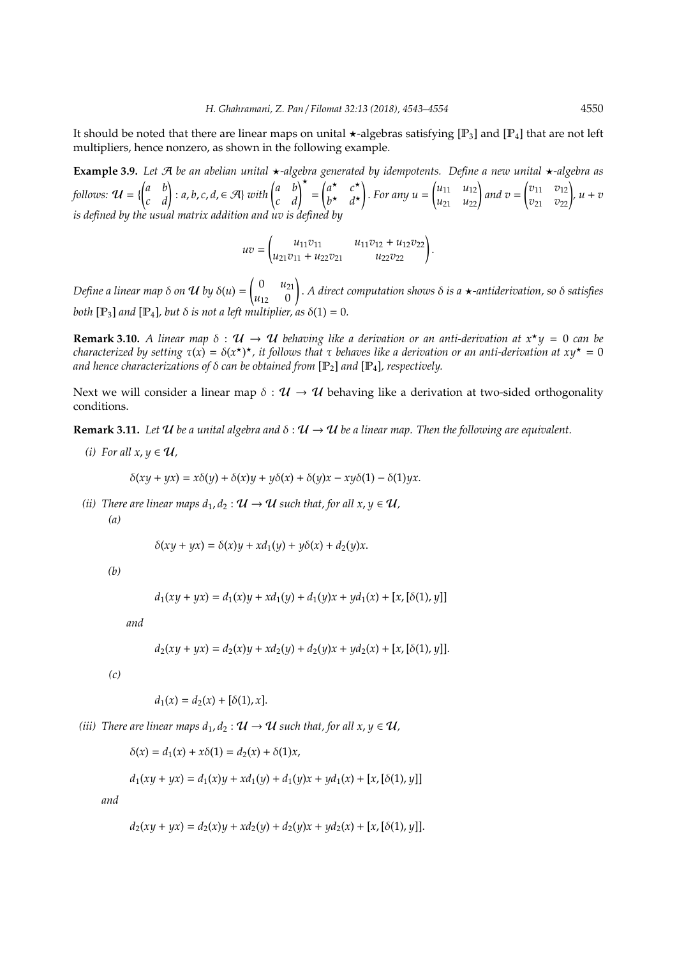It should be noted that there are linear maps on unital  $\star$ -algebras satisfying [P<sub>3</sub>] and [P<sub>4</sub>] that are not left multipliers, hence nonzero, as shown in the following example.

**Example 3.9.** *Let* A *be an abelian unital* ?*-algebra generated by idempotents. Define a new unital* ?*-algebra as follows:*  $\mathcal{U} = \{ \begin{pmatrix} a & b \\ c & d \end{pmatrix} : a, b, c, d, \in \mathcal{A} \}$  *with*  $\begin{pmatrix} a & b \\ c & d \end{pmatrix}^{\star} =$  $\int a^{\star}$   $c^{\star}$  $b^{\star}$   $d^{\star}$ ! . *For any u* =  $\begin{pmatrix} u_{11} & u_{12} \\ u_{21} & u_{22} \end{pmatrix}$  and  $v =$  $\begin{pmatrix} v_{11} & v_{12} \\ v_{21} & v_{22} \end{pmatrix}$ ,  $u + v$ *is defined by the usual matrix addition and uv is defined by*

> *uv* =  $\begin{pmatrix} u_{11}v_{11} & u_{11}v_{12} + u_{12}v_{22} \\ u_{21}v_{11} + u_{22}v_{21} & u_{22}v_{22} \end{pmatrix}.$

*Define a linear map* δ *on* **U** by δ(u) =  $\begin{pmatrix} 0 & u_{21} \\ u_{21} & 0 \end{pmatrix}$  $u_{12}$  0 ! . *A direct computation shows* δ *is a* ?*-antiderivation, so* δ *satisfies both*  $[\mathbb{P}_3]$  *and*  $[\mathbb{P}_4]$ *, but*  $\delta$  *is not a left multiplier, as*  $\delta(1) = 0$ *.* 

**Remark 3.10.** *A linear map*  $\delta : \mathcal{U} \to \mathcal{U}$  *behaving like a derivation or an anti-derivation at*  $x^*y = 0$  *can be characterized by setting*  $\tau(x) = \delta(x^*)^*$ , it follows that  $\tau$  behaves like a derivation or an anti-derivation at  $xy^* = 0$ *and hence characterizations of* δ *can be obtained from* [P2] *and* [P4]*, respectively.*

Next we will consider a linear map  $\delta : \mathcal{U} \to \mathcal{U}$  behaving like a derivation at two-sided orthogonality conditions.

**Remark 3.11.** *Let*  $U$  *be a unital algebra and*  $\delta : U \to U$  *be a linear map. Then the following are equivalent.* 

*(i)* For all  $x, y \in U$ ,

$$
\delta(xy + yx) = x\delta(y) + \delta(x)y + y\delta(x) + \delta(y)x - xy\delta(1) - \delta(1)yx.
$$

*(ii)* There are linear maps  $d_1, d_2 : \mathcal{U} \to \mathcal{U}$  such that, for all  $x, y \in \mathcal{U}$ , *(a)*

$$
\delta(xy+yx)=\delta(x)y+xd_1(y)+y\delta(x)+d_2(y)x.
$$

*(b)*

$$
d_1(xy + yx) = d_1(x)y + xd_1(y) + d_1(y)x + yd_1(x) + [x, [\delta(1), y]]
$$

*and*

$$
d_2(xy + yx) = d_2(x)y + xd_2(y) + d_2(y)x + yd_2(x) + [x, [\delta(1), y]].
$$

*(c)*

$$
d_1(x) = d_2(x) + [\delta(1), x].
$$

*(iii)* There are linear maps  $d_1, d_2 : \mathcal{U} \to \mathcal{U}$  such that, for all  $x, y \in \mathcal{U}$ ,

$$
\delta(x) = d_1(x) + x\delta(1) = d_2(x) + \delta(1)x,
$$

$$
d_1(xy + yx) = d_1(x)y + xd_1(y) + d_1(y)x + yd_1(x) + [x, [\delta(1), y]]
$$

*and*

$$
d_2(xy + yx) = d_2(x)y + xd_2(y) + d_2(y)x + yd_2(x) + [x, [\delta(1), y]].
$$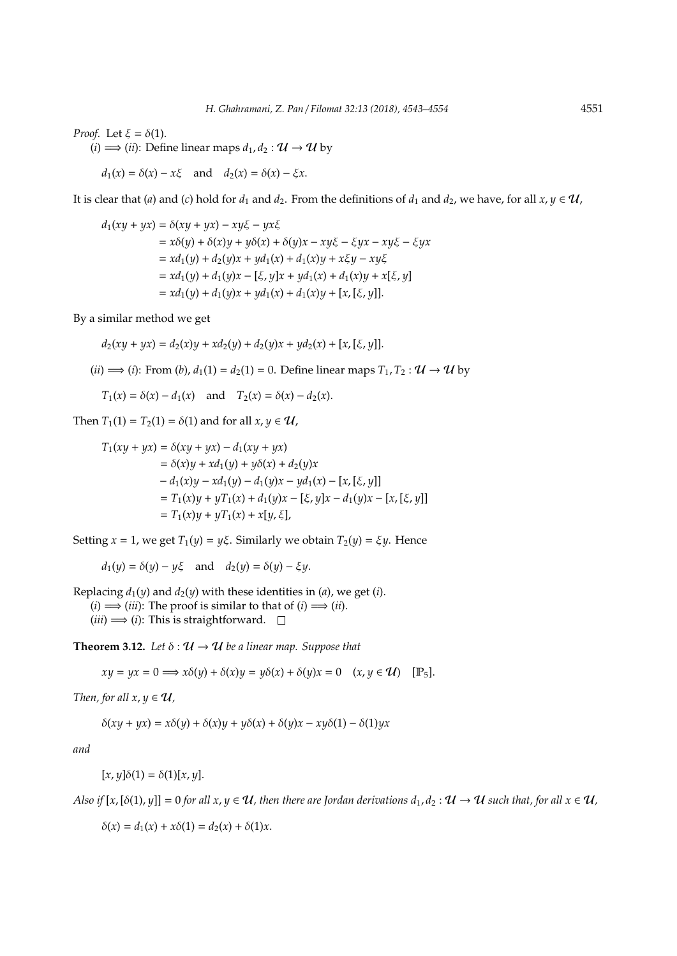*Proof.* Let  $\xi = \delta(1)$ .

 $(i) \Longrightarrow (ii)$ : Define linear maps  $d_1, d_2 : \mathcal{U} \to \mathcal{U}$  by

 $d_1(x) = \delta(x) - x\xi$  and  $d_2(x) = \delta(x) - \xi x$ .

It is clear that (*a*) and (*c*) hold for  $d_1$  and  $d_2$ . From the definitions of  $d_1$  and  $d_2$ , we have, for all  $x, y \in \mathcal{U}$ ,

$$
d_1(xy + yx) = \delta(xy + yx) - xy\xi - yx\xi
$$
  
=  $x\delta(y) + \delta(x)y + y\delta(x) + \delta(y)x - xy\xi - \xi yx - xy\xi - \xi yx$   
=  $xd_1(y) + d_2(y)x + yd_1(x) + d_1(x)y + x\xi y - xy\xi$   
=  $xd_1(y) + d_1(y)x - [\xi, y]x + yd_1(x) + d_1(x)y + x[\xi, y]$   
=  $xd_1(y) + d_1(y)x + yd_1(x) + d_1(x)y + [x, [\xi, y]].$ 

By a similar method we get

$$
d_2(xy + yx) = d_2(x)y + xd_2(y) + d_2(y)x + yd_2(x) + [x, [\xi, y]].
$$

(*ii*)  $\implies$  (*i*): From (*b*),  $d_1(1) = d_2(1) = 0$ . Define linear maps  $T_1, T_2 : U \rightarrow U$  by

$$
T_1(x) = \delta(x) - d_1(x)
$$
 and  $T_2(x) = \delta(x) - d_2(x)$ .

Then  $T_1(1) = T_2(1) = \delta(1)$  and for all  $x, y \in U$ ,

$$
T_1(xy + yx) = \delta(xy + yx) - d_1(xy + yx)
$$
  
=  $\delta(x)y + xd_1(y) + y\delta(x) + d_2(y)x$   
 $- d_1(x)y - xd_1(y) - d_1(y)x - yd_1(x) - [x, [\xi, y]]$   
=  $T_1(x)y + yT_1(x) + d_1(y)x - [\xi, y]x - d_1(y)x - [x, [\xi, y]]$   
=  $T_1(xy) + yT_1(x) + x[y, \xi],$ 

Setting  $x = 1$ , we get  $T_1(y) = y\xi$ . Similarly we obtain  $T_2(y) = \xi y$ . Hence

 $d_1(y) = \delta(y) - y\xi$  and  $d_2(y) = \delta(y) - \xi y$ .

Replacing  $d_1(y)$  and  $d_2(y)$  with these identities in (*a*), we get (*i*).  $(i) \implies (iii)$ : The proof is similar to that of  $(i) \implies (ii)$ .  $(iii) \Longrightarrow (i)$ : This is straightforward.  $\square$ 

**Theorem 3.12.** Let  $\delta : \mathcal{U} \to \mathcal{U}$  be a linear map. Suppose that

 $xy = yx = 0 \implies x\delta(y) + \delta(x)y = y\delta(x) + \delta(y)x = 0 \quad (x, y \in \mathcal{U})$  [P<sub>5</sub>].

*Then, for all x, y*  $\in \mathcal{U}$ ,

δ(*xy* + *yx*) = *x*δ(*y*) + δ(*x*)*y* + *y*δ(*x*) + δ(*y*)*x* − *xy*δ(1) − δ(1)*yx*

*and*

 $[x, y]δ(1) = δ(1)[x, y].$ 

*Also if*  $[x,[\delta(1), y]] = 0$  *for all*  $x, y \in \mathcal{U}$ , then there are Jordan derivations  $d_1, d_2 : \mathcal{U} \to \mathcal{U}$  such that, for all  $x \in \mathcal{U}$ ,

 $\delta(x) = d_1(x) + x\delta(1) = d_2(x) + \delta(1)x$ .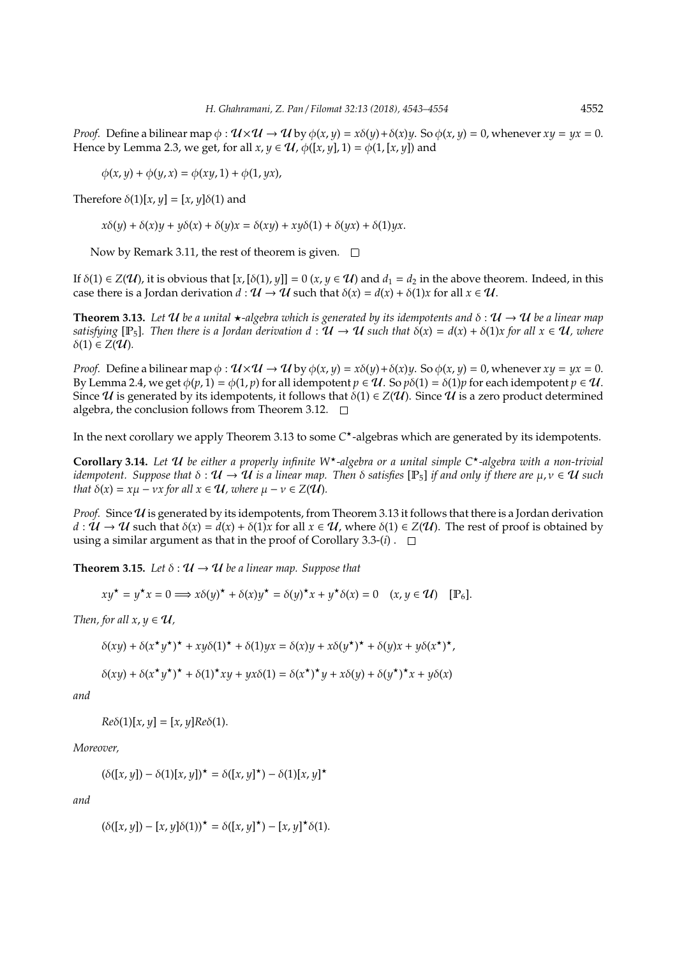*Proof.* Define a bilinear map  $\phi$ :  $\mathcal{U} \times \mathcal{U} \rightarrow \mathcal{U}$  by  $\phi(x, y) = x\delta(y) + \delta(x)y$ . So  $\phi(x, y) = 0$ , whenever  $xy = yx = 0$ . Hence by Lemma 2.3, we get, for all  $x, y \in \mathcal{U}$ ,  $\phi([x, y], 1) = \phi(1, [x, y])$  and

 $\phi(x, y) + \phi(y, x) = \phi(xy, 1) + \phi(1, yx),$ 

Therefore  $\delta(1)[x, y] = [x, y]\delta(1)$  and

 $x\delta(y) + \delta(x)y + y\delta(x) + \delta(y)x = \delta(xy) + xy\delta(1) + \delta(yx) + \delta(1)yx$ .

Now by Remark 3.11, the rest of theorem is given.  $\Box$ 

If  $\delta(1) \in Z(\mathcal{U})$ , it is obvious that  $[x, [\delta(1), y]] = 0$   $(x, y \in \mathcal{U})$  and  $d_1 = d_2$  in the above theorem. Indeed, in this case there is a Jordan derivation  $d : \mathcal{U} \to \mathcal{U}$  such that  $\delta(x) = d(x) + \delta(1)x$  for all  $x \in \mathcal{U}$ .

**Theorem 3.13.** Let U be a unital  $\star$ -algebra which is generated by its idempotents and  $\delta : U \to U$  be a linear map *satisfying* [P<sub>5</sub>]. Then there is a Jordan derivation  $d : U \to U$  such that  $\delta(x) = d(x) + \delta(1)x$  for all  $x \in U$ , where  $δ(1) ∈ Z($ **U**).

*Proof.* Define a bilinear map  $\phi$ :  $\mathcal{U} \times \mathcal{U} \rightarrow \mathcal{U}$  by  $\phi(x, y) = x\delta(y) + \delta(x)y$ . So  $\phi(x, y) = 0$ , whenever  $xy = yx = 0$ . By Lemma 2.4, we get  $\phi(p, 1) = \phi(1, p)$  for all idempotent  $p \in \mathcal{U}$ . So  $p\delta(1) = \delta(1)p$  for each idempotent  $p \in \mathcal{U}$ . Since U is generated by its idempotents, it follows that  $\delta(1) \in Z(\mathcal{U})$ . Since U is a zero product determined algebra, the conclusion follows from Theorem 3.12.  $\Box$ 

In the next corollary we apply Theorem 3.13 to some C<sup>\*</sup>-algebras which are generated by its idempotents.

**Corollary 3.14.** *Let* U *be either a properly infinite W*?*-algebra or a unital simple C*?*-algebra with a non-trivial idempotent.* Suppose that  $\delta : \mathcal{U} \to \mathcal{U}$  is a linear map. Then  $\delta$  satisfies  $[\mathbb{P}_5]$  *if and only if there are*  $\mu, \nu \in \mathcal{U}$  such *that*  $\delta(x) = x\mu - \nu x$  *for all*  $x \in \mathcal{U}$ *, where*  $\mu - \nu \in Z(\mathcal{U})$ *.* 

*Proof.* Since  $U$  is generated by its idempotents, from Theorem 3.13 it follows that there is a Jordan derivation  $d: \mathcal{U} \to \mathcal{U}$  such that  $\delta(x) = d(x) + \delta(1)x$  for all  $x \in \mathcal{U}$ , where  $\delta(1) \in Z(\mathcal{U})$ . The rest of proof is obtained by using a similar argument as that in the proof of Corollary 3.3- $(i)$ .  $\Box$ 

**Theorem 3.15.** *Let*  $\delta : \mathcal{U} \to \mathcal{U}$  *be a linear map. Suppose that* 

$$
xy^* = y^*x = 0 \Longrightarrow x\delta(y)^* + \delta(x)y^* = \delta(y)^*x + y^*\delta(x) = 0 \quad (x, y \in \mathcal{U}) \quad [\mathbb{P}_6].
$$

*Then, for all x, y*  $\in \mathcal{U}$ ,

$$
\delta(xy) + \delta(x^{\star}y^{\star})^{\star} + xy\delta(1)^{\star} + \delta(1)yx = \delta(x)y + x\delta(y^{\star})^{\star} + \delta(y)x + y\delta(x^{\star})^{\star},
$$

$$
\delta(xy) + \delta(x^{\star}y^{\star})^{\star} + \delta(1)^{\star}xy + yx\delta(1) = \delta(x^{\star})^{\star}y + x\delta(y) + \delta(y^{\star})^{\star}x + y\delta(x)
$$

*and*

 $Re\delta(1)[x, y] = [x, y]Re\delta(1).$ 

*Moreover,*

 $(\delta([x, y]) - \delta(1)[x, y])^* = \delta([x, y]^*) - \delta(1)[x, y]^*$ 

*and*

$$
(\delta([x, y]) - [x, y]\delta(1))^\star = \delta([x, y]^\star) - [x, y]^\star \delta(1).
$$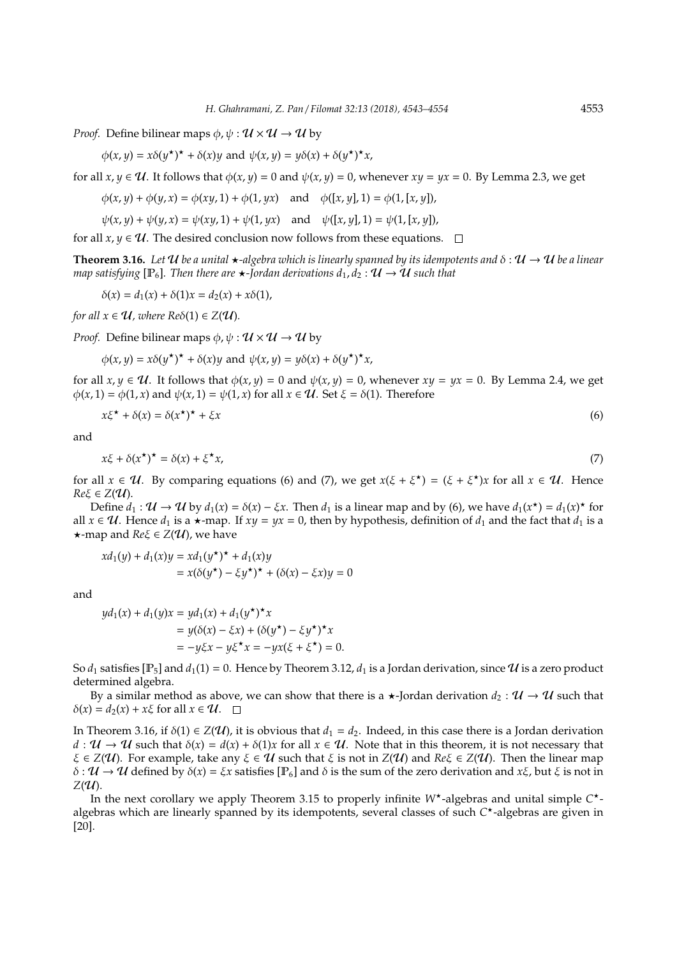*Proof.* Define bilinear maps  $\phi$ ,  $\psi : \mathcal{U} \times \mathcal{U} \rightarrow \mathcal{U}$  by

 $\phi(x, y) = x\delta(y^*)^* + \delta(x)y$  and  $\psi(x, y) = y\delta(x) + \delta(y^*)^*x$ ,

for all  $x, y \in U$ . It follows that  $\phi(x, y) = 0$  and  $\psi(x, y) = 0$ , whenever  $xy = yx = 0$ . By Lemma 2.3, we get

$$
\phi(x, y) + \phi(y, x) = \phi(xy, 1) + \phi(1, yx) \quad \text{and} \quad \phi([x, y], 1) = \phi(1, [x, y]),
$$

$$
\psi(x, y) + \psi(y, x) = \psi(xy, 1) + \psi(1, yx) \quad \text{and} \quad \psi([x, y], 1) = \psi(1, [x, y]),
$$

for all *x*, *y*  $\in \mathcal{U}$ . The desired conclusion now follows from these equations.  $\Box$ 

**Theorem 3.16.** Let U be a unital  $\star$ -algebra which is linearly spanned by its idempotents and  $\delta : U \to U$  be a linear *map satisfying* [ $\mathbb{P}_6$ ]*. Then there are*  $\star$ *-Jordan derivations*  $d_1, d_2 : \mathcal{U} \to \mathcal{U}$  such that

 $\delta(x) = d_1(x) + \delta(1)x = d_2(x) + x\delta(1),$ 

*for all*  $x \in U$ *, where*  $\text{Re}\delta(1) \in Z(U)$ *.* 

*Proof.* Define bilinear maps  $\phi$ ,  $\psi : \mathcal{U} \times \mathcal{U} \rightarrow \mathcal{U}$  by

 $\phi(x, y) = x\delta(y^*)^* + \delta(x)y$  and  $\psi(x, y) = y\delta(x) + \delta(y^*)^*x$ ,

for all  $x, y \in \mathcal{U}$ . It follows that  $\phi(x, y) = 0$  and  $\psi(x, y) = 0$ , whenever  $xy = yx = 0$ . By Lemma 2.4, we get  $\phi(x, 1) = \phi(1, x)$  and  $\psi(x, 1) = \psi(1, x)$  for all  $x \in \mathcal{U}$ . Set  $\xi = \delta(1)$ . Therefore

$$
x\xi^{\star} + \delta(x) = \delta(x^{\star})^{\star} + \xi x \tag{6}
$$

and

 $x\xi + \delta(x^{\star})^{\star} = \delta(x) + \xi^{\star}$ *x*, (7)

for all  $x \in \mathcal{U}$ . By comparing equations (6) and (7), we get  $x(\xi + \xi^*) = (\xi + \xi^*)x$  for all  $x \in \mathcal{U}$ . Hence  $Re \xi \in Z(U)$ .

Define  $d_1: \mathcal{U} \to \mathcal{U}$  by  $d_1(x) = \delta(x) - \xi x$ . Then  $d_1$  is a linear map and by (6), we have  $d_1(x^*) = d_1(x)^*$  for all *x* ∈  $U$ . Hence *d*<sub>1</sub> is a  $\star$ -map. If *xy* = *yx* = 0, then by hypothesis, definition of *d*<sub>1</sub> and the fact that *d*<sub>1</sub> is a  $\star$ -map and *Re* $\xi \in Z(\mathcal{U})$ , we have

$$
xd_1(y) + d_1(x)y = xd_1(y^*)^* + d_1(x)y
$$
  
=  $x(\delta(y^*) - \xi y^*)^* + (\delta(x) - \xi x)y = 0$ 

and

$$
yd_1(x) + d_1(y)x = yd_1(x) + d_1(y^*)^*x
$$
  
=  $y(\delta(x) - \xi x) + (\delta(y^*) - \xi y^*)^*x$   
=  $-y\xi x - y\xi^*x = -yx(\xi + \xi^*) = 0.$ 

So  $d_1$  satisfies  $[P_5]$  and  $d_1(1) = 0$ . Hence by Theorem 3.12,  $d_1$  is a Jordan derivation, since  $U$  is a zero product determined algebra.

By a similar method as above, we can show that there is a  $\star$ -Jordan derivation  $d_2 : \mathcal{U} \to \mathcal{U}$  such that  $\delta(x) = d_2(x) + x\xi$  for all  $x \in \mathcal{U}$ .  $\square$ 

In Theorem 3.16, if  $\delta(1) \in Z(\mathcal{U})$ , it is obvious that  $d_1 = d_2$ . Indeed, in this case there is a Jordan derivation  $d: \mathcal{U} \to \mathcal{U}$  such that  $\delta(x) = d(x) + \delta(1)x$  for all  $x \in \mathcal{U}$ . Note that in this theorem, it is not necessary that  $\xi \in Z(\mathcal{U})$ . For example, take any  $\xi \in \mathcal{U}$  such that  $\xi$  is not in  $Z(\mathcal{U})$  and  $Re\xi \in Z(\mathcal{U})$ . Then the linear map δ : U → U defined by δ(*x*) = ξ*x* satisfies [P6] and δ is the sum of the zero derivation and *x*ξ, but ξ is not in  $Z(\mathcal{U})$ .

In the next corollary we apply Theorem 3.15 to properly infinite W<sup>\*</sup>-algebras and unital simple C<sup>\*</sup>algebras which are linearly spanned by its idempotents, several classes of such *C* ?-algebras are given in [20].